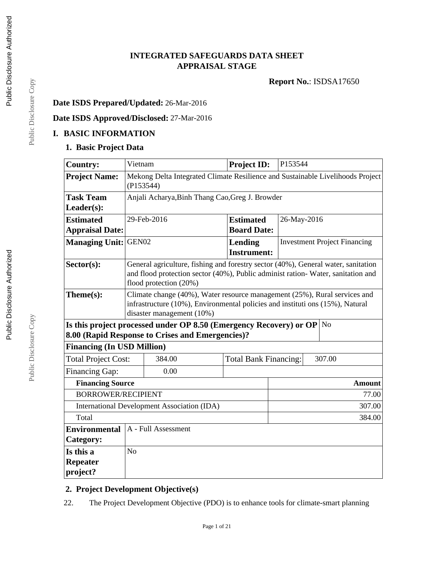# **INTEGRATED SAFEGUARDS DATA SHEET APPRAISAL STAGE**

**Report No.**: ISDSA17650

# **Date ISDS Prepared/Updated:** 26-Mar-2016

# **Date ISDS Approved/Disclosed:** 27-Mar-2016

# **I. BASIC INFORMATION**

# **1. Basic Project Data**

| <b>Country:</b>                   | Vietnam                                                                                     |                                                                                                           | <b>Project ID:</b> | P153544 |             |                                     |
|-----------------------------------|---------------------------------------------------------------------------------------------|-----------------------------------------------------------------------------------------------------------|--------------------|---------|-------------|-------------------------------------|
| <b>Project Name:</b>              | Mekong Delta Integrated Climate Resilience and Sustainable Livelihoods Project<br>(P153544) |                                                                                                           |                    |         |             |                                     |
| <b>Task Team</b>                  |                                                                                             | Anjali Acharya, Binh Thang Cao, Greg J. Browder                                                           |                    |         |             |                                     |
| Leader(s):                        |                                                                                             |                                                                                                           |                    |         |             |                                     |
| <b>Estimated</b>                  |                                                                                             | 29-Feb-2016                                                                                               | <b>Estimated</b>   |         | 26-May-2016 |                                     |
| <b>Appraisal Date:</b>            |                                                                                             |                                                                                                           | <b>Board Date:</b> |         |             |                                     |
| <b>Managing Unit: GEN02</b>       |                                                                                             |                                                                                                           | Lending            |         |             | <b>Investment Project Financing</b> |
|                                   |                                                                                             |                                                                                                           | <b>Instrument:</b> |         |             |                                     |
| Sector(s):                        |                                                                                             | General agriculture, fishing and forestry sector (40%), General water, sanitation                         |                    |         |             |                                     |
|                                   |                                                                                             | and flood protection sector (40%), Public administ ration-Water, sanitation and<br>flood protection (20%) |                    |         |             |                                     |
| Theme(s):                         |                                                                                             | Climate change (40%), Water resource management (25%), Rural services and                                 |                    |         |             |                                     |
|                                   |                                                                                             | infrastructure (10%), Environmental policies and instituti ons (15%), Natural                             |                    |         |             |                                     |
|                                   |                                                                                             | disaster management (10%)                                                                                 |                    |         |             |                                     |
|                                   |                                                                                             | Is this project processed under OP 8.50 (Emergency Recovery) or OP $\vert$ No                             |                    |         |             |                                     |
|                                   |                                                                                             | 8.00 (Rapid Response to Crises and Emergencies)?                                                          |                    |         |             |                                     |
| <b>Financing (In USD Million)</b> |                                                                                             |                                                                                                           |                    |         |             |                                     |
|                                   | <b>Total Project Cost:</b><br>384.00<br><b>Total Bank Financing:</b><br>307.00              |                                                                                                           |                    |         |             |                                     |
| Financing Gap:                    |                                                                                             | 0.00                                                                                                      |                    |         |             |                                     |
| <b>Financing Source</b>           |                                                                                             |                                                                                                           |                    |         |             | <b>Amount</b>                       |
|                                   | <b>BORROWER/RECIPIENT</b><br>77.00                                                          |                                                                                                           |                    |         |             |                                     |
|                                   | <b>International Development Association (IDA)</b><br>307.00                                |                                                                                                           |                    |         |             |                                     |
| Total<br>384.00                   |                                                                                             |                                                                                                           |                    |         |             |                                     |
| <b>Environmental</b>              | A - Full Assessment                                                                         |                                                                                                           |                    |         |             |                                     |
| Category:                         |                                                                                             |                                                                                                           |                    |         |             |                                     |
| Is this a                         | N <sub>o</sub>                                                                              |                                                                                                           |                    |         |             |                                     |
| Repeater                          |                                                                                             |                                                                                                           |                    |         |             |                                     |
| project?                          |                                                                                             |                                                                                                           |                    |         |             |                                     |

# **2. Project Development Objective(s)**

22. The Project Development Objective (PDO) is to enhance tools for climate-smart planning

Public Disclosure Copy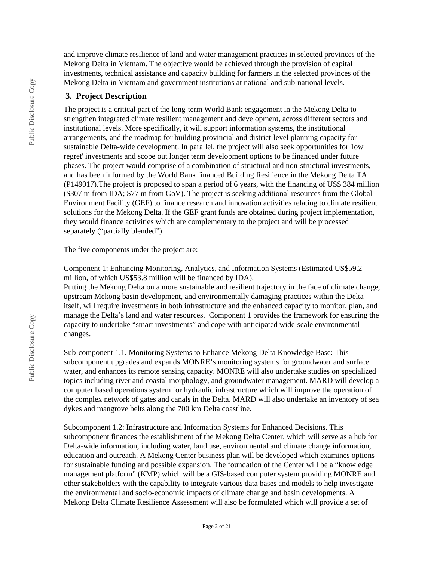and improve climate resilience of land and water management practices in selected provinces of the Mekong Delta in Vietnam. The objective would be achieved through the provision of capital investments, technical assistance and capacity building for farmers in the selected provinces of the Mekong Delta in Vietnam and government institutions at national and sub-national levels.

# **3. Project Description**

The project is a critical part of the long-term World Bank engagement in the Mekong Delta to strengthen integrated climate resilient management and development, across different sectors and institutional levels. More specifically, it will support information systems, the institutional arrangements, and the roadmap for building provincial and district-level planning capacity for sustainable Delta-wide development. In parallel, the project will also seek opportunities for 'low regret' investments and scope out longer term development options to be financed under future phases. The project would comprise of a combination of structural and non-structural investments, and has been informed by the World Bank financed Building Resilience in the Mekong Delta TA (P149017).The project is proposed to span a period of 6 years, with the financing of US\$ 384 million (\$307 m from IDA; \$77 m from GoV). The project is seeking additional resources from the Global Environment Facility (GEF) to finance research and innovation activities relating to climate resilient solutions for the Mekong Delta. If the GEF grant funds are obtained during project implementation, they would finance activities which are complementary to the project and will be processed separately ("partially blended").

The five components under the project are:

Component 1: Enhancing Monitoring, Analytics, and Information Systems (Estimated US\$59.2 million, of which US\$53.8 million will be financed by IDA).

Putting the Mekong Delta on a more sustainable and resilient trajectory in the face of climate change, upstream Mekong basin development, and environmentally damaging practices within the Delta itself, will require investments in both infrastructure and the enhanced capacity to monitor, plan, and manage the Delta's land and water resources. Component 1 provides the framework for ensuring the capacity to undertake "smart investments" and cope with anticipated wide-scale environmental changes.

Sub-component 1.1. Monitoring Systems to Enhance Mekong Delta Knowledge Base: This subcomponent upgrades and expands MONRE's monitoring systems for groundwater and surface water, and enhances its remote sensing capacity. MONRE will also undertake studies on specialized topics including river and coastal morphology, and groundwater management. MARD will develop a computer based operations system for hydraulic infrastructure which will improve the operation of the complex network of gates and canals in the Delta. MARD will also undertake an inventory of sea dykes and mangrove belts along the 700 km Delta coastline.

Subcomponent 1.2: Infrastructure and Information Systems for Enhanced Decisions. This subcomponent finances the establishment of the Mekong Delta Center, which will serve as a hub for Delta-wide information, including water, land use, environmental and climate change information, education and outreach. A Mekong Center business plan will be developed which examines options for sustainable funding and possible expansion. The foundation of the Center will be a "knowledge management platform" (KMP) which will be a GIS-based computer system providing MONRE and other stakeholders with the capability to integrate various data bases and models to help investigate the environmental and socio-economic impacts of climate change and basin developments. A Mekong Delta Climate Resilience Assessment will also be formulated which will provide a set of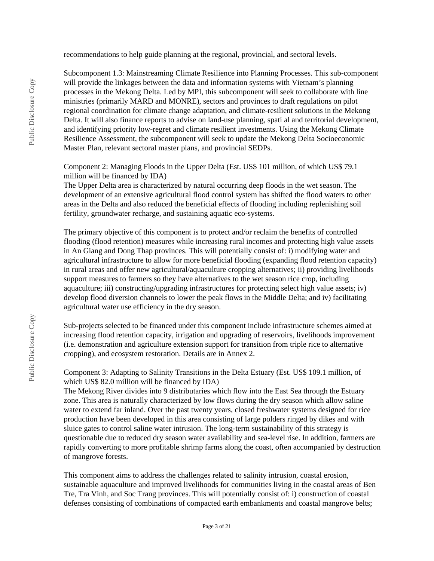recommendations to help guide planning at the regional, provincial, and sectoral levels.

Subcomponent 1.3: Mainstreaming Climate Resilience into Planning Processes. This sub-component will provide the linkages between the data and information systems with Vietnam's planning processes in the Mekong Delta. Led by MPI, this subcomponent will seek to collaborate with line ministries (primarily MARD and MONRE), sectors and provinces to draft regulations on pilot regional coordination for climate change adaptation, and climate-resilient solutions in the Mekong Delta. It will also finance reports to advise on land-use planning, spati al and territorial development, and identifying priority low-regret and climate resilient investments. Using the Mekong Climate Resilience Assessment, the subcomponent will seek to update the Mekong Delta Socioeconomic Master Plan, relevant sectoral master plans, and provincial SEDPs.

Component 2: Managing Floods in the Upper Delta (Est. US\$ 101 million, of which US\$ 79.1 million will be financed by IDA)

The Upper Delta area is characterized by natural occurring deep floods in the wet season. The development of an extensive agricultural flood control system has shifted the flood waters to other areas in the Delta and also reduced the beneficial effects of flooding including replenishing soil fertility, groundwater recharge, and sustaining aquatic eco-systems.

The primary objective of this component is to protect and/or reclaim the benefits of controlled flooding (flood retention) measures while increasing rural incomes and protecting high value assets in An Giang and Dong Thap provinces. This will potentially consist of: i) modifying water and agricultural infrastructure to allow for more beneficial flooding (expanding flood retention capacity) in rural areas and offer new agricultural/aquaculture cropping alternatives; ii) providing livelihoods support measures to farmers so they have alternatives to the wet season rice crop, including aquaculture; iii) constructing/upgrading infrastructures for protecting select high value assets; iv) develop flood diversion channels to lower the peak flows in the Middle Delta; and iv) facilitating agricultural water use efficiency in the dry season.

Sub-projects selected to be financed under this component include infrastructure schemes aimed at increasing flood retention capacity, irrigation and upgrading of reservoirs, livelihoods improvement (i.e. demonstration and agriculture extension support for transition from triple rice to alternative cropping), and ecosystem restoration. Details are in Annex 2.

Component 3: Adapting to Salinity Transitions in the Delta Estuary (Est. US\$ 109.1 million, of which US\$ 82.0 million will be financed by IDA)

The Mekong River divides into 9 distributaries which flow into the East Sea through the Estuary zone. This area is naturally characterized by low flows during the dry season which allow saline water to extend far inland. Over the past twenty years, closed freshwater systems designed for rice production have been developed in this area consisting of large polders ringed by dikes and with sluice gates to control saline water intrusion. The long-term sustainability of this strategy is questionable due to reduced dry season water availability and sea-level rise. In addition, farmers are rapidly converting to more profitable shrimp farms along the coast, often accompanied by destruction of mangrove forests.

This component aims to address the challenges related to salinity intrusion, coastal erosion, sustainable aquaculture and improved livelihoods for communities living in the coastal areas of Ben Tre, Tra Vinh, and Soc Trang provinces. This will potentially consist of: i) construction of coastal defenses consisting of combinations of compacted earth embankments and coastal mangrove belts;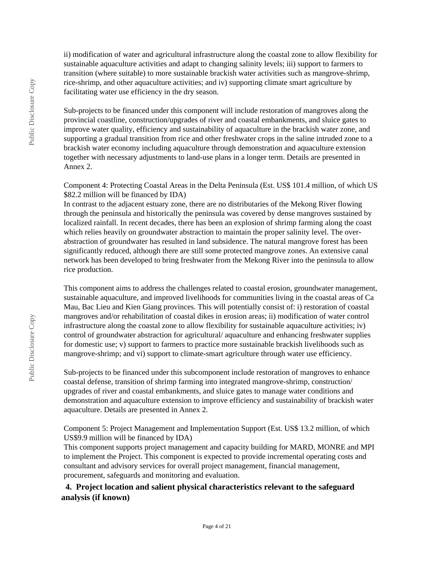ii) modification of water and agricultural infrastructure along the coastal zone to allow flexibility for sustainable aquaculture activities and adapt to changing salinity levels; iii) support to farmers to transition (where suitable) to more sustainable brackish water activities such as mangrove-shrimp, rice-shrimp, and other aquaculture activities; and iv) supporting climate smart agriculture by facilitating water use efficiency in the dry season.

Sub-projects to be financed under this component will include restoration of mangroves along the provincial coastline, construction/upgrades of river and coastal embankments, and sluice gates to improve water quality, efficiency and sustainability of aquaculture in the brackish water zone, and supporting a gradual transition from rice and other freshwater crops in the saline intruded zone to a brackish water economy including aquaculture through demonstration and aquaculture extension together with necessary adjustments to land-use plans in a longer term. Details are presented in Annex 2.

Component 4: Protecting Coastal Areas in the Delta Peninsula (Est. US\$ 101.4 million, of which US \$82.2 million will be financed by IDA)

In contrast to the adjacent estuary zone, there are no distributaries of the Mekong River flowing through the peninsula and historically the peninsula was covered by dense mangroves sustained by localized rainfall. In recent decades, there has been an explosion of shrimp farming along the coast which relies heavily on groundwater abstraction to maintain the proper salinity level. The overabstraction of groundwater has resulted in land subsidence. The natural mangrove forest has been significantly reduced, although there are still some protected mangrove zones. An extensive canal network has been developed to bring freshwater from the Mekong River into the peninsula to allow rice production.

This component aims to address the challenges related to coastal erosion, groundwater management, sustainable aquaculture, and improved livelihoods for communities living in the coastal areas of Ca Mau, Bac Lieu and Kien Giang provinces. This will potentially consist of: i) restoration of coastal mangroves and/or rehabilitation of coastal dikes in erosion areas; ii) modification of water control infrastructure along the coastal zone to allow flexibility for sustainable aquaculture activities; iv) control of groundwater abstraction for agricultural/ aquaculture and enhancing freshwater supplies for domestic use; v) support to farmers to practice more sustainable brackish livelihoods such as mangrove-shrimp; and vi) support to climate-smart agriculture through water use efficiency.

Sub-projects to be financed under this subcomponent include restoration of mangroves to enhance coastal defense, transition of shrimp farming into integrated mangrove-shrimp, construction/ upgrades of river and coastal embankments, and sluice gates to manage water conditions and demonstration and aquaculture extension to improve efficiency and sustainability of brackish water aquaculture. Details are presented in Annex 2.

Component 5: Project Management and Implementation Support (Est. US\$ 13.2 million, of which US\$9.9 million will be financed by IDA)

This component supports project management and capacity building for MARD, MONRE and MPI to implement the Project. This component is expected to provide incremental operating costs and consultant and advisory services for overall project management, financial management, procurement, safeguards and monitoring and evaluation.

# **4. Project location and salient physical characteristics relevant to the safeguard analysis (if known)**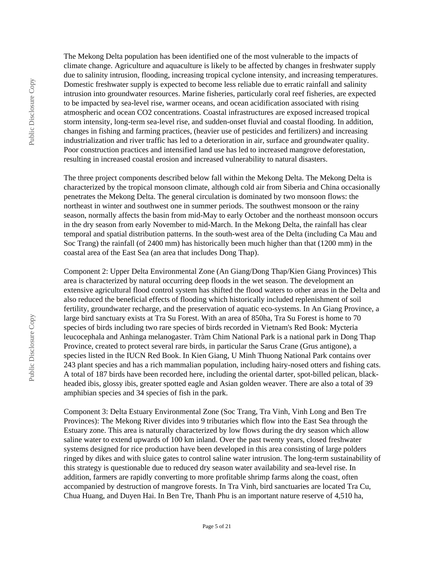The Mekong Delta population has been identified one of the most vulnerable to the impacts of climate change. Agriculture and aquaculture is likely to be affected by changes in freshwater supply due to salinity intrusion, flooding, increasing tropical cyclone intensity, and increasing temperatures. Domestic freshwater supply is expected to become less reliable due to erratic rainfall and salinity intrusion into groundwater resources. Marine fisheries, particularly coral reef fisheries, are expected to be impacted by sea-level rise, warmer oceans, and ocean acidification associated with rising atmospheric and ocean CO2 concentrations. Coastal infrastructures are exposed increased tropical storm intensity, long-term sea-level rise, and sudden-onset fluvial and coastal flooding. In addition, changes in fishing and farming practices, (heavier use of pesticides and fertilizers) and increasing industrialization and river traffic has led to a deterioration in air, surface and groundwater quality. Poor construction practices and intensified land use has led to increased mangrove deforestation, resulting in increased coastal erosion and increased vulnerability to natural disasters.

The three project components described below fall within the Mekong Delta. The Mekong Delta is characterized by the tropical monsoon climate, although cold air from Siberia and China occasionally penetrates the Mekong Delta. The general circulation is dominated by two monsoon flows: the northeast in winter and southwest one in summer periods. The southwest monsoon or the rainy season, normally affects the basin from mid-May to early October and the northeast monsoon occurs in the dry season from early November to mid-March. In the Mekong Delta, the rainfall has clear temporal and spatial distribution patterns. In the south-west area of the Delta (including Ca Mau and Soc Trang) the rainfall (of 2400 mm) has historically been much higher than that (1200 mm) in the coastal area of the East Sea (an area that includes Dong Thap).

Component 2: Upper Delta Environmental Zone (An Giang/Dong Thap/Kien Giang Provinces) This area is characterized by natural occurring deep floods in the wet season. The development an extensive agricultural flood control system has shifted the flood waters to other areas in the Delta and also reduced the beneficial effects of flooding which historically included replenishment of soil fertility, groundwater recharge, and the preservation of aquatic eco-systems. In An Giang Province, a large bird sanctuary exists at Tra Su Forest. With an area of 850ha, Tra Su Forest is home to 70 species of birds including two rare species of birds recorded in Vietnam's Red Book: Mycteria leucocephala and Anhinga melanogaster. Tràm Chim National Park is a national park in Dong Thap Province, created to protect several rare birds, in particular the Sarus Crane (Grus antigone), a species listed in the IUCN Red Book. In Kien Giang, U Minh Thuong National Park contains over 243 plant species and has a rich mammalian population, including hairy-nosed otters and fishing cats. A total of 187 birds have been recorded here, including the oriental darter, spot-billed pelican, blackheaded ibis, glossy ibis, greater spotted eagle and Asian golden weaver. There are also a total of 39 amphibian species and 34 species of fish in the park.

Component 3: Delta Estuary Environmental Zone (Soc Trang, Tra Vinh, Vinh Long and Ben Tre Provinces): The Mekong River divides into 9 tributaries which flow into the East Sea through the Estuary zone. This area is naturally characterized by low flows during the dry season which allow saline water to extend upwards of 100 km inland. Over the past twenty years, closed freshwater systems designed for rice production have been developed in this area consisting of large polders ringed by dikes and with sluice gates to control saline water intrusion. The long-term sustainability of this strategy is questionable due to reduced dry season water availability and sea-level rise. In addition, farmers are rapidly converting to more profitable shrimp farms along the coast, often accompanied by destruction of mangrove forests. In Tra Vinh, bird sanctuaries are located Tra Cu, Chua Huang, and Duyen Hai. In Ben Tre, Thanh Phu is an important nature reserve of 4,510 ha,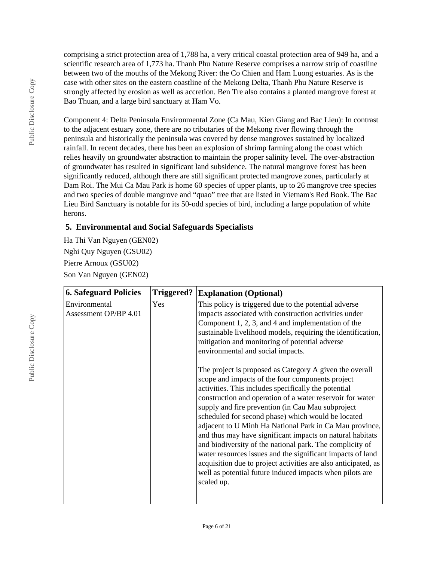comprising a strict protection area of 1,788 ha, a very critical coastal protection area of 949 ha, and a scientific research area of 1,773 ha. Thanh Phu Nature Reserve comprises a narrow strip of coastline between two of the mouths of the Mekong River: the Co Chien and Ham Luong estuaries. As is the case with other sites on the eastern coastline of the Mekong Delta, Thanh Phu Nature Reserve is strongly affected by erosion as well as accretion. Ben Tre also contains a planted mangrove forest at Bao Thuan, and a large bird sanctuary at Ham Vo.

Component 4: Delta Peninsula Environmental Zone (Ca Mau, Kien Giang and Bac Lieu): In contrast to the adjacent estuary zone, there are no tributaries of the Mekong river flowing through the peninsula and historically the peninsula was covered by dense mangroves sustained by localized rainfall. In recent decades, there has been an explosion of shrimp farming along the coast which relies heavily on groundwater abstraction to maintain the proper salinity level. The over-abstraction of groundwater has resulted in significant land subsidence. The natural mangrove forest has been significantly reduced, although there are still significant protected mangrove zones, particularly at Dam Roi. The Mui Ca Mau Park is home 60 species of upper plants, up to 26 mangrove tree species and two species of double mangrove and "quao" tree that are listed in Vietnam's Red Book. The Bac Lieu Bird Sanctuary is notable for its 50-odd species of bird, including a large population of white herons.

# **5. Environmental and Social Safeguards Specialists**

Ha Thi Van Nguyen (GEN02) Nghi Quy Nguyen (GSU02) Pierre Arnoux (GSU02) Son Van Nguyen (GEN02)

| <b>6. Safeguard Policies</b>           | Triggered? | <b>Explanation (Optional)</b>                                                                                                                                                                                                                                                                                                                                                                                                                                                                                                                                                                                                                                                                                                             |
|----------------------------------------|------------|-------------------------------------------------------------------------------------------------------------------------------------------------------------------------------------------------------------------------------------------------------------------------------------------------------------------------------------------------------------------------------------------------------------------------------------------------------------------------------------------------------------------------------------------------------------------------------------------------------------------------------------------------------------------------------------------------------------------------------------------|
| Environmental<br>Assessment OP/BP 4.01 | Yes        | This policy is triggered due to the potential adverse<br>impacts associated with construction activities under<br>Component $1, 2, 3$ , and $4$ and implementation of the<br>sustainable livelihood models, requiring the identification,<br>mitigation and monitoring of potential adverse<br>environmental and social impacts.                                                                                                                                                                                                                                                                                                                                                                                                          |
|                                        |            | The project is proposed as Category A given the overall<br>scope and impacts of the four components project<br>activities. This includes specifically the potential<br>construction and operation of a water reservoir for water<br>supply and fire prevention (in Cau Mau subproject<br>scheduled for second phase) which would be located<br>adjacent to U Minh Ha National Park in Ca Mau province,<br>and thus may have significant impacts on natural habitats<br>and biodiversity of the national park. The complicity of<br>water resources issues and the significant impacts of land<br>acquisition due to project activities are also anticipated, as<br>well as potential future induced impacts when pilots are<br>scaled up. |
|                                        |            |                                                                                                                                                                                                                                                                                                                                                                                                                                                                                                                                                                                                                                                                                                                                           |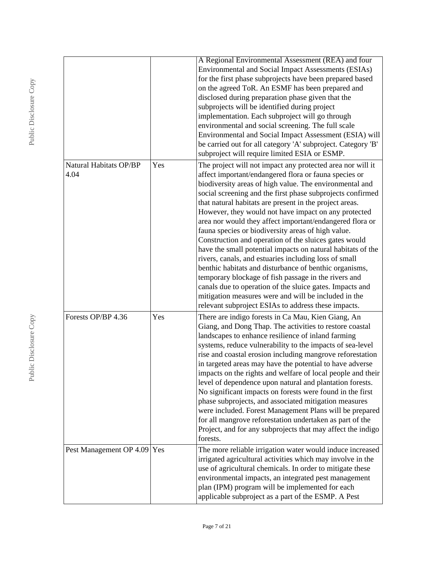|                                       |     | A Regional Environmental Assessment (REA) and four<br><b>Environmental and Social Impact Assessments (ESIAs)</b><br>for the first phase subprojects have been prepared based<br>on the agreed ToR. An ESMF has been prepared and<br>disclosed during preparation phase given that the<br>subprojects will be identified during project<br>implementation. Each subproject will go through<br>environmental and social screening. The full scale<br>Environmental and Social Impact Assessment (ESIA) will<br>be carried out for all category 'A' subproject. Category 'B'<br>subproject will require limited ESIA or ESMP.                                                                                                                                                                                                                                                                                                                                      |
|---------------------------------------|-----|-----------------------------------------------------------------------------------------------------------------------------------------------------------------------------------------------------------------------------------------------------------------------------------------------------------------------------------------------------------------------------------------------------------------------------------------------------------------------------------------------------------------------------------------------------------------------------------------------------------------------------------------------------------------------------------------------------------------------------------------------------------------------------------------------------------------------------------------------------------------------------------------------------------------------------------------------------------------|
| <b>Natural Habitats OP/BP</b><br>4.04 | Yes | The project will not impact any protected area nor will it<br>affect important/endangered flora or fauna species or<br>biodiversity areas of high value. The environmental and<br>social screening and the first phase subprojects confirmed<br>that natural habitats are present in the project areas.<br>However, they would not have impact on any protected<br>area nor would they affect important/endangered flora or<br>fauna species or biodiversity areas of high value.<br>Construction and operation of the sluices gates would<br>have the small potential impacts on natural habitats of the<br>rivers, canals, and estuaries including loss of small<br>benthic habitats and disturbance of benthic organisms,<br>temporary blockage of fish passage in the rivers and<br>canals due to operation of the sluice gates. Impacts and<br>mitigation measures were and will be included in the<br>relevant subproject ESIAs to address these impacts. |
| Forests OP/BP 4.36                    | Yes | There are indigo forests in Ca Mau, Kien Giang, An<br>Giang, and Dong Thap. The activities to restore coastal<br>landscapes to enhance resilience of inland farming<br>systems, reduce vulnerability to the impacts of sea-level<br>rise and coastal erosion including mangrove reforestation<br>in targeted areas may have the potential to have adverse<br>impacts on the rights and welfare of local people and their<br>level of dependence upon natural and plantation forests.<br>No significant impacts on forests were found in the first<br>phase subprojects, and associated mitigation measures<br>were included. Forest Management Plans will be prepared<br>for all mangrove reforestation undertaken as part of the<br>Project, and for any subprojects that may affect the indigo<br>forests.                                                                                                                                                    |
| Pest Management OP 4.09 Yes           |     | The more reliable irrigation water would induce increased<br>irrigated agricultural activities which may involve in the<br>use of agricultural chemicals. In order to mitigate these<br>environmental impacts, an integrated pest management<br>plan (IPM) program will be implemented for each<br>applicable subproject as a part of the ESMP. A Pest                                                                                                                                                                                                                                                                                                                                                                                                                                                                                                                                                                                                          |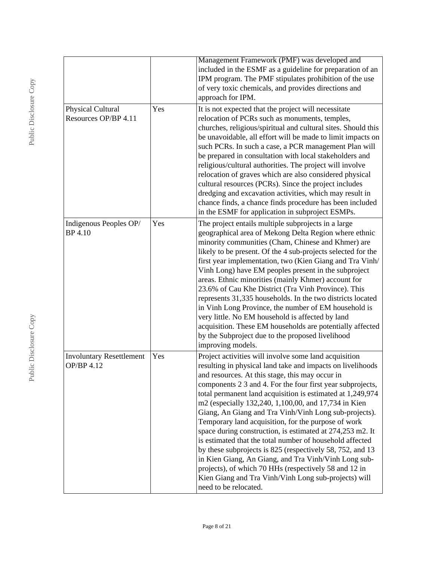|                                               |     | Management Framework (PMF) was developed and<br>included in the ESMF as a guideline for preparation of an<br>IPM program. The PMF stipulates prohibition of the use<br>of very toxic chemicals, and provides directions and<br>approach for IPM.                                                                                                                                                                                                                                                                                                                                                                                                                                                                                                                                                                                                                   |
|-----------------------------------------------|-----|--------------------------------------------------------------------------------------------------------------------------------------------------------------------------------------------------------------------------------------------------------------------------------------------------------------------------------------------------------------------------------------------------------------------------------------------------------------------------------------------------------------------------------------------------------------------------------------------------------------------------------------------------------------------------------------------------------------------------------------------------------------------------------------------------------------------------------------------------------------------|
| Physical Cultural<br>Resources OP/BP 4.11     | Yes | It is not expected that the project will necessitate<br>relocation of PCRs such as monuments, temples,<br>churches, religious/spiritual and cultural sites. Should this<br>be unavoidable, all effort will be made to limit impacts on<br>such PCRs. In such a case, a PCR management Plan will<br>be prepared in consultation with local stakeholders and<br>religious/cultural authorities. The project will involve<br>relocation of graves which are also considered physical<br>cultural resources (PCRs). Since the project includes<br>dredging and excavation activities, which may result in<br>chance finds, a chance finds procedure has been included<br>in the ESMF for application in subproject ESMPs.                                                                                                                                              |
| Indigenous Peoples OP/<br><b>BP</b> 4.10      | Yes | The project entails multiple subprojects in a large<br>geographical area of Mekong Delta Region where ethnic<br>minority communities (Cham, Chinese and Khmer) are<br>likely to be present. Of the 4 sub-projects selected for the<br>first year implementation, two (Kien Giang and Tra Vinh/<br>Vinh Long) have EM peoples present in the subproject<br>areas. Ethnic minorities (mainly Khmer) account for<br>23.6% of Cau Khe District (Tra Vinh Province). This<br>represents 31,335 households. In the two districts located<br>in Vinh Long Province, the number of EM household is<br>very little. No EM household is affected by land<br>acquisition. These EM households are potentially affected<br>by the Subproject due to the proposed livelihood<br>improving models.                                                                               |
| <b>Involuntary Resettlement</b><br>OP/BP 4.12 | Yes | Project activities will involve some land acquisition<br>resulting in physical land take and impacts on livelihoods<br>and resources. At this stage, this may occur in<br>components 2 3 and 4. For the four first year subprojects,<br>total permanent land acquisition is estimated at 1,249,974<br>m2 (especially 132,240, 1,100,00, and 17,734 in Kien<br>Giang, An Giang and Tra Vinh/Vinh Long sub-projects).<br>Temporary land acquisition, for the purpose of work<br>space during construction, is estimated at 274,253 m2. It<br>is estimated that the total number of household affected<br>by these subprojects is 825 (respectively 58, 752, and 13<br>in Kien Giang, An Giang, and Tra Vinh/Vinh Long sub-<br>projects), of which 70 HHs (respectively 58 and 12 in<br>Kien Giang and Tra Vinh/Vinh Long sub-projects) will<br>need to be relocated. |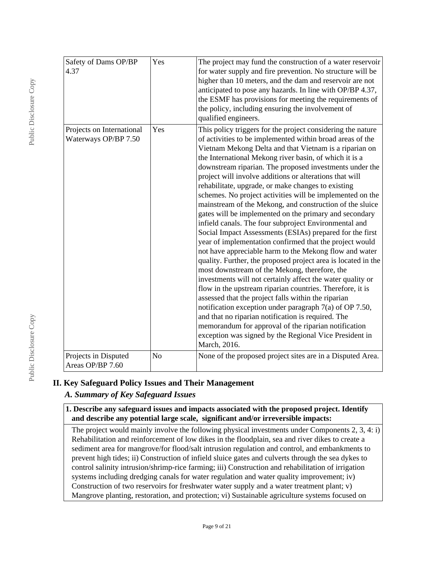| Safety of Dams OP/BP<br>4.37                      | Yes | The project may fund the construction of a water reservoir<br>for water supply and fire prevention. No structure will be<br>higher than 10 meters, and the dam and reservoir are not<br>anticipated to pose any hazards. In line with OP/BP 4.37,<br>the ESMF has provisions for meeting the requirements of<br>the policy, including ensuring the involvement of<br>qualified engineers.                                                                                                                                                                                                                                                                                                                                                                                                                                                                                                                                                                                                                                                                                                                                                                                                                                                                                                                                                                                                                    |
|---------------------------------------------------|-----|--------------------------------------------------------------------------------------------------------------------------------------------------------------------------------------------------------------------------------------------------------------------------------------------------------------------------------------------------------------------------------------------------------------------------------------------------------------------------------------------------------------------------------------------------------------------------------------------------------------------------------------------------------------------------------------------------------------------------------------------------------------------------------------------------------------------------------------------------------------------------------------------------------------------------------------------------------------------------------------------------------------------------------------------------------------------------------------------------------------------------------------------------------------------------------------------------------------------------------------------------------------------------------------------------------------------------------------------------------------------------------------------------------------|
| Projects on International<br>Waterways OP/BP 7.50 | Yes | This policy triggers for the project considering the nature<br>of activities to be implemented within broad areas of the<br>Vietnam Mekong Delta and that Vietnam is a riparian on<br>the International Mekong river basin, of which it is a<br>downstream riparian. The proposed investments under the<br>project will involve additions or alterations that will<br>rehabilitate, upgrade, or make changes to existing<br>schemes. No project activities will be implemented on the<br>mainstream of the Mekong, and construction of the sluice<br>gates will be implemented on the primary and secondary<br>infield canals. The four subproject Environmental and<br>Social Impact Assessments (ESIAs) prepared for the first<br>year of implementation confirmed that the project would<br>not have appreciable harm to the Mekong flow and water<br>quality. Further, the proposed project area is located in the<br>most downstream of the Mekong, therefore, the<br>investments will not certainly affect the water quality or<br>flow in the upstream riparian countries. Therefore, it is<br>assessed that the project falls within the riparian<br>notification exception under paragraph 7(a) of OP 7.50,<br>and that no riparian notification is required. The<br>memorandum for approval of the riparian notification<br>exception was signed by the Regional Vice President in<br>March, 2016. |
| Projects in Disputed<br>Areas OP/BP 7.60          | No  | None of the proposed project sites are in a Disputed Area.                                                                                                                                                                                                                                                                                                                                                                                                                                                                                                                                                                                                                                                                                                                                                                                                                                                                                                                                                                                                                                                                                                                                                                                                                                                                                                                                                   |

# **II. Key Safeguard Policy Issues and Their Management**

# *A. Summary of Key Safeguard Issues*

**1. Describe any safeguard issues and impacts associated with the proposed project. Identify and describe any potential large scale, significant and/or irreversible impacts:**

The project would mainly involve the following physical investments under Components 2, 3, 4: i) Rehabilitation and reinforcement of low dikes in the floodplain, sea and river dikes to create a sediment area for mangrove/for flood/salt intrusion regulation and control, and embankments to prevent high tides; ii) Construction of infield sluice gates and culverts through the sea dykes to control salinity intrusion/shrimp-rice farming; iii) Construction and rehabilitation of irrigation systems including dredging canals for water regulation and water quality improvement; iv) Construction of two reservoirs for freshwater water supply and a water treatment plant; v) Mangrove planting, restoration, and protection; vi) Sustainable agriculture systems focused on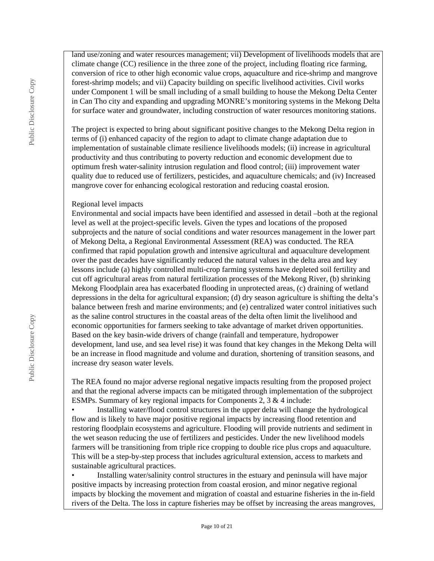land use/zoning and water resources management; vii) Development of livelihoods models that are climate change (CC) resilience in the three zone of the project, including floating rice farming, conversion of rice to other high economic value crops, aquaculture and rice-shrimp and mangrove forest-shrimp models; and vii) Capacity building on specific livelihood activities. Civil works under Component 1 will be small including of a small building to house the Mekong Delta Center in Can Tho city and expanding and upgrading MONRE's monitoring systems in the Mekong Delta for surface water and groundwater, including construction of water resources monitoring stations.

The project is expected to bring about significant positive changes to the Mekong Delta region in terms of (i) enhanced capacity of the region to adapt to climate change adaptation due to implementation of sustainable climate resilience livelihoods models; (ii) increase in agricultural productivity and thus contributing to poverty reduction and economic development due to optimum fresh water-salinity intrusion regulation and flood control; (iii) improvement water quality due to reduced use of fertilizers, pesticides, and aquaculture chemicals; and (iv) Increased mangrove cover for enhancing ecological restoration and reducing coastal erosion.

### Regional level impacts

Environmental and social impacts have been identified and assessed in detail –both at the regional level as well at the project-specific levels. Given the types and locations of the proposed subprojects and the nature of social conditions and water resources management in the lower part of Mekong Delta, a Regional Environmental Assessment (REA) was conducted. The REA confirmed that rapid population growth and intensive agricultural and aquaculture development over the past decades have significantly reduced the natural values in the delta area and key lessons include (a) highly controlled multi-crop farming systems have depleted soil fertility and cut off agricultural areas from natural fertilization processes of the Mekong River, (b) shrinking Mekong Floodplain area has exacerbated flooding in unprotected areas, (c) draining of wetland depressions in the delta for agricultural expansion; (d) dry season agriculture is shifting the delta's balance between fresh and marine environments; and (e) centralized water control initiatives such as the saline control structures in the coastal areas of the delta often limit the livelihood and economic opportunities for farmers seeking to take advantage of market driven opportunities. Based on the key basin-wide drivers of change (rainfall and temperature, hydropower development, land use, and sea level rise) it was found that key changes in the Mekong Delta will be an increase in flood magnitude and volume and duration, shortening of transition seasons, and increase dry season water levels.

The REA found no major adverse regional negative impacts resulting from the proposed project and that the regional adverse impacts can be mitigated through implementation of the subproject ESMPs. Summary of key regional impacts for Components 2, 3 & 4 include:

• Installing water/flood control structures in the upper delta will change the hydrological flow and is likely to have major positive regional impacts by increasing flood retention and restoring floodplain ecosystems and agriculture. Flooding will provide nutrients and sediment in the wet season reducing the use of fertilizers and pesticides. Under the new livelihood models farmers will be transitioning from triple rice cropping to double rice plus crops and aquaculture. This will be a step-by-step process that includes agricultural extension, access to markets and sustainable agricultural practices.

• Installing water/salinity control structures in the estuary and peninsula will have major positive impacts by increasing protection from coastal erosion, and minor negative regional impacts by blocking the movement and migration of coastal and estuarine fisheries in the in-field rivers of the Delta. The loss in capture fisheries may be offset by increasing the areas mangroves,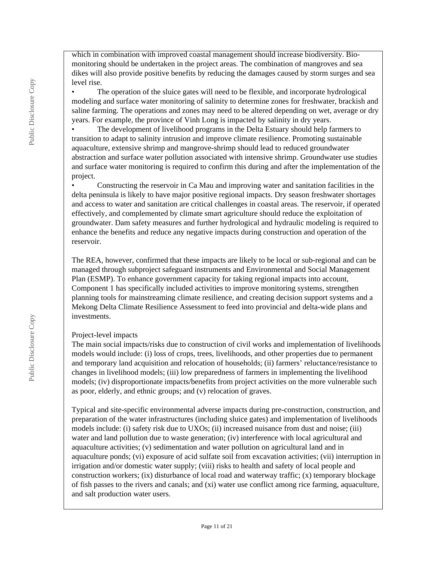which in combination with improved coastal management should increase biodiversity. Biomonitoring should be undertaken in the project areas. The combination of mangroves and sea dikes will also provide positive benefits by reducing the damages caused by storm surges and sea level rise.

• The operation of the sluice gates will need to be flexible, and incorporate hydrological modeling and surface water monitoring of salinity to determine zones for freshwater, brackish and saline farming. The operations and zones may need to be altered depending on wet, average or dry years. For example, the province of Vinh Long is impacted by salinity in dry years.

• The development of livelihood programs in the Delta Estuary should help farmers to transition to adapt to salinity intrusion and improve climate resilience. Promoting sustainable aquaculture, extensive shrimp and mangrove-shrimp should lead to reduced groundwater abstraction and surface water pollution associated with intensive shrimp. Groundwater use studies and surface water monitoring is required to confirm this during and after the implementation of the project.

• Constructing the reservoir in Ca Mau and improving water and sanitation facilities in the delta peninsula is likely to have major positive regional impacts. Dry season freshwater shortages and access to water and sanitation are critical challenges in coastal areas. The reservoir, if operated effectively, and complemented by climate smart agriculture should reduce the exploitation of groundwater. Dam safety measures and further hydrological and hydraulic modeling is required to enhance the benefits and reduce any negative impacts during construction and operation of the reservoir.

The REA, however, confirmed that these impacts are likely to be local or sub-regional and can be managed through subproject safeguard instruments and Environmental and Social Management Plan (ESMP). To enhance government capacity for taking regional impacts into account, Component 1 has specifically included activities to improve monitoring systems, strengthen planning tools for mainstreaming climate resilience, and creating decision support systems and a Mekong Delta Climate Resilience Assessment to feed into provincial and delta-wide plans and investments.

#### Project-level impacts

The main social impacts/risks due to construction of civil works and implementation of livelihoods models would include: (i) loss of crops, trees, livelihoods, and other properties due to permanent and temporary land acquisition and relocation of households; (ii) farmers' reluctance/resistance to changes in livelihood models; (iii) low preparedness of farmers in implementing the livelihood models; (iv) disproportionate impacts/benefits from project activities on the more vulnerable such as poor, elderly, and ethnic groups; and (v) relocation of graves.

Typical and site-specific environmental adverse impacts during pre-construction, construction, and preparation of the water infrastructures (including sluice gates) and implementation of livelihoods models include: (i) safety risk due to UXOs; (ii) increased nuisance from dust and noise; (iii) water and land pollution due to waste generation; (iv) interference with local agricultural and aquaculture activities; (v) sedimentation and water pollution on agricultural land and in aquaculture ponds; (vi) exposure of acid sulfate soil from excavation activities; (vii) interruption in irrigation and/or domestic water supply; (viii) risks to health and safety of local people and construction workers; (ix) disturbance of local road and waterway traffic; (x) temporary blockage of fish passes to the rivers and canals; and (xi) water use conflict among rice farming, aquaculture, and salt production water users.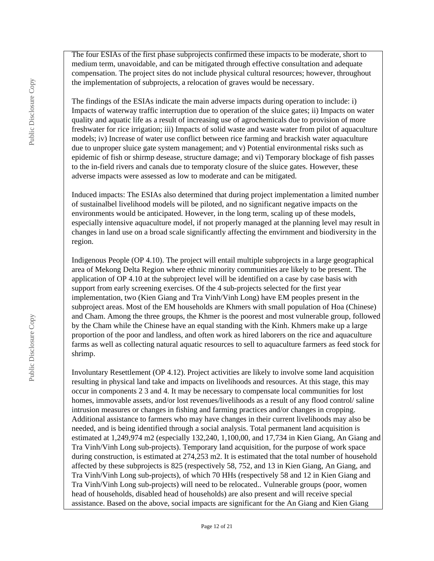The four ESIAs of the first phase subprojects confirmed these impacts to be moderate, short to medium term, unavoidable, and can be mitigated through effective consultation and adequate compensation. The project sites do not include physical cultural resources; however, throughout the implementation of subprojects, a relocation of graves would be necessary.

The findings of the ESIAs indicate the main adverse impacts during operation to include: i) Impacts of waterway traffic interruption due to operation of the sluice gates; ii) Impacts on water quality and aquatic life as a result of increasing use of agrochemicals due to provision of more freshwater for rice irrigation; iii) Impacts of solid waste and waste water from pilot of aquaculture models; iv) Increase of water use conflict between rice farming and brackish water aquaculture due to unproper sluice gate system management; and v) Potential environmental risks such as epidemic of fish or shirmp desease, structure damage; and vi) Temporary blockage of fish passes to the in-field rivers and canals due to temporaty closure of the sluice gates. However, these adverse impacts were assessed as low to moderate and can be mitigated.

Induced impacts: The ESIAs also determined that during project implementation a limited number of sustainalbel livelihood models will be piloted, and no significant negative impacts on the environments would be anticipated. However, in the long term, scaling up of these models, especially intensive aquaculture model, if not properly managed at the planning level may result in changes in land use on a broad scale significantly affecting the envirnment and biodiversity in the region.

Indigenous People (OP 4.10). The project will entail multiple subprojects in a large geographical area of Mekong Delta Region where ethnic minority communities are likely to be present. The application of OP 4.10 at the subproject level will be identified on a case by case basis with support from early screening exercises. Of the 4 sub-projects selected for the first year implementation, two (Kien Giang and Tra Vinh/Vinh Long) have EM peoples present in the subproject areas. Most of the EM households are Khmers with small population of Hoa (Chinese) and Cham. Among the three groups, the Khmer is the poorest and most vulnerable group, followed by the Cham while the Chinese have an equal standing with the Kinh. Khmers make up a large proportion of the poor and landless, and often work as hired laborers on the rice and aquaculture farms as well as collecting natural aquatic resources to sell to aquaculture farmers as feed stock for shrimp.

Involuntary Resettlement (OP 4.12). Project activities are likely to involve some land acquisition resulting in physical land take and impacts on livelihoods and resources. At this stage, this may occur in components 2 3 and 4. It may be necessary to compensate local communities for lost homes, immovable assets, and/or lost revenues/livelihoods as a result of any flood control/ saline intrusion measures or changes in fishing and farming practices and/or changes in cropping. Additional assistance to farmers who may have changes in their current livelihoods may also be needed, and is being identified through a social analysis. Total permanent land acquisition is estimated at 1,249,974 m2 (especially 132,240, 1,100,00, and 17,734 in Kien Giang, An Giang and Tra Vinh/Vinh Long sub-projects). Temporary land acquisition, for the purpose of work space during construction, is estimated at 274,253 m2. It is estimated that the total number of household affected by these subprojects is 825 (respectively 58, 752, and 13 in Kien Giang, An Giang, and Tra Vinh/Vinh Long sub-projects), of which 70 HHs (respectively 58 and 12 in Kien Giang and Tra Vinh/Vinh Long sub-projects) will need to be relocated.. Vulnerable groups (poor, women head of households, disabled head of households) are also present and will receive special assistance. Based on the above, social impacts are significant for the An Giang and Kien Giang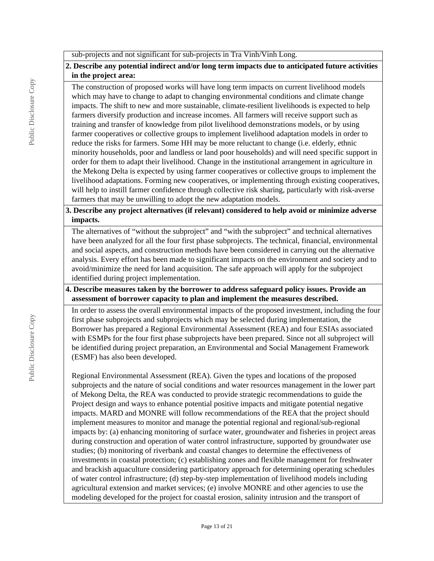sub-projects and not significant for sub-projects in Tra Vinh/Vinh Long.

# **2. Describe any potential indirect and/or long term impacts due to anticipated future activities in the project area:**

The construction of proposed works will have long term impacts on current livelihood models which may have to change to adapt to changing environmental conditions and climate change impacts. The shift to new and more sustainable, climate-resilient livelihoods is expected to help farmers diversify production and increase incomes. All farmers will receive support such as training and transfer of knowledge from pilot livelihood demonstrations models, or by using farmer cooperatives or collective groups to implement livelihood adaptation models in order to reduce the risks for farmers. Some HH may be more reluctant to change (i.e. elderly, ethnic minority households, poor and landless or land poor households) and will need specific support in order for them to adapt their livelihood. Change in the institutional arrangement in agriculture in the Mekong Delta is expected by using farmer cooperatives or collective groups to implement the livelihood adaptations. Forming new cooperatives, or implementing through existing cooperatives, will help to instill farmer confidence through collective risk sharing, particularly with risk-averse farmers that may be unwilling to adopt the new adaptation models.

## **3. Describe any project alternatives (if relevant) considered to help avoid or minimize adverse impacts.**

The alternatives of "without the subproject" and "with the subproject" and technical alternatives have been analyzed for all the four first phase subprojects. The technical, financial, environmental and social aspects, and construction methods have been considered in carrying out the alternative analysis. Every effort has been made to significant impacts on the environment and society and to avoid/minimize the need for land acquisition. The safe approach will apply for the subproject identified during project implementation.

## **4. Describe measures taken by the borrower to address safeguard policy issues. Provide an assessment of borrower capacity to plan and implement the measures described.**

In order to assess the overall environmental impacts of the proposed investment, including the four first phase subprojects and subprojects which may be selected during implementation, the Borrower has prepared a Regional Environmental Assessment (REA) and four ESIAs associated with ESMPs for the four first phase subprojects have been prepared. Since not all subproject will be identified during project preparation, an Environmental and Social Management Framework (ESMF) has also been developed.

Regional Environmental Assessment (REA). Given the types and locations of the proposed subprojects and the nature of social conditions and water resources management in the lower part of Mekong Delta, the REA was conducted to provide strategic recommendations to guide the Project design and ways to enhance potential positive impacts and mitigate potential negative impacts. MARD and MONRE will follow recommendations of the REA that the project should implement measures to monitor and manage the potential regional and regional/sub-regional impacts by: (a) enhancing monitoring of surface water, groundwater and fisheries in project areas during construction and operation of water control infrastructure, supported by groundwater use studies; (b) monitoring of riverbank and coastal changes to determine the effectiveness of investments in coastal protection; (c) establishing zones and flexible management for freshwater and brackish aquaculture considering participatory approach for determining operating schedules of water control infrastructure; (d) step-by-step implementation of livelihood models including agricultural extension and market services; (e) involve MONRE and other agencies to use the modeling developed for the project for coastal erosion, salinity intrusion and the transport of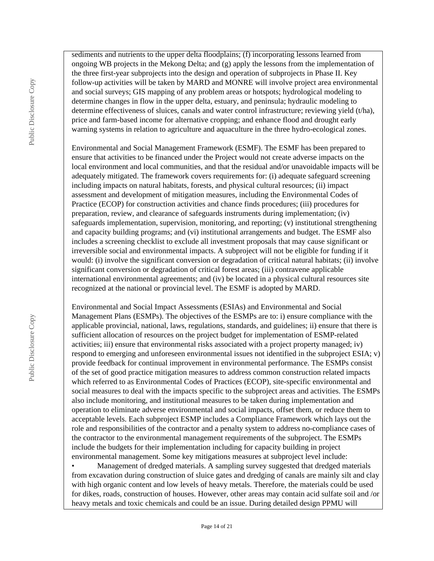sediments and nutrients to the upper delta floodplains; (f) incorporating lessons learned from ongoing WB projects in the Mekong Delta; and (g) apply the lessons from the implementation of the three first-year subprojects into the design and operation of subprojects in Phase II. Key follow-up activities will be taken by MARD and MONRE will involve project area environmental and social surveys; GIS mapping of any problem areas or hotspots; hydrological modeling to determine changes in flow in the upper delta, estuary, and peninsula; hydraulic modeling to determine effectiveness of sluices, canals and water control infrastructure; reviewing yield (t/ha), price and farm-based income for alternative cropping; and enhance flood and drought early warning systems in relation to agriculture and aquaculture in the three hydro-ecological zones.

Environmental and Social Management Framework (ESMF). The ESMF has been prepared to ensure that activities to be financed under the Project would not create adverse impacts on the local environment and local communities, and that the residual and/or unavoidable impacts will be adequately mitigated. The framework covers requirements for: (i) adequate safeguard screening including impacts on natural habitats, forests, and physical cultural resources; (ii) impact assessment and development of mitigation measures, including the Environmental Codes of Practice (ECOP) for construction activities and chance finds procedures; (iii) procedures for preparation, review, and clearance of safeguards instruments during implementation; (iv) safeguards implementation, supervision, monitoring, and reporting; (v) institutional strengthening and capacity building programs; and (vi) institutional arrangements and budget. The ESMF also includes a screening checklist to exclude all investment proposals that may cause significant or irreversible social and environmental impacts. A subproject will not be eligible for funding if it would: (i) involve the significant conversion or degradation of critical natural habitats; (ii) involve significant conversion or degradation of critical forest areas; (iii) contravene applicable international environmental agreements; and (iv) be located in a physical cultural resources site recognized at the national or provincial level. The ESMF is adopted by MARD.

Environmental and Social Impact Assessments (ESIAs) and Environmental and Social Management Plans (ESMPs). The objectives of the ESMPs are to: i) ensure compliance with the applicable provincial, national, laws, regulations, standards, and guidelines; ii) ensure that there is sufficient allocation of resources on the project budget for implementation of ESMP-related activities; iii) ensure that environmental risks associated with a project property managed; iv) respond to emerging and unforeseen environmental issues not identified in the subproject ESIA; v) provide feedback for continual improvement in environmental performance. The ESMPs consist of the set of good practice mitigation measures to address common construction related impacts which referred to as Environmental Codes of Practices (ECOP), site-specific environmental and social measures to deal with the impacts specific to the subproject areas and activities. The ESMPs also include monitoring, and institutional measures to be taken during implementation and operation to eliminate adverse environmental and social impacts, offset them, or reduce them to acceptable levels. Each subproject ESMP includes a Compliance Framework which lays out the role and responsibilities of the contractor and a penalty system to address no-compliance cases of the contractor to the environmental management requirements of the subproject. The ESMPs include the budgets for their implementation including for capacity building in project environmental management. Some key mitigations measures at subproject level include:

• Management of dredged materials. A sampling survey suggested that dredged materials from excavation during construction of sluice gates and dredging of canals are mainly silt and clay with high organic content and low levels of heavy metals. Therefore, the materials could be used for dikes, roads, construction of houses. However, other areas may contain acid sulfate soil and /or heavy metals and toxic chemicals and could be an issue. During detailed design PPMU will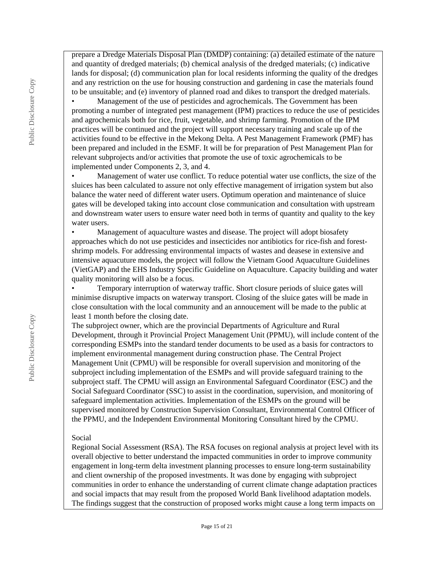prepare a Dredge Materials Disposal Plan (DMDP) containing: (a) detailed estimate of the nature and quantity of dredged materials; (b) chemical analysis of the dredged materials; (c) indicative lands for disposal; (d) communication plan for local residents informing the quality of the dredges and any restriction on the use for housing construction and gardening in case the materials found to be unsuitable; and (e) inventory of planned road and dikes to transport the dredged materials.

• Management of the use of pesticides and agrochemicals. The Government has been promoting a number of integrated pest management (IPM) practices to reduce the use of pesticides and agrochemicals both for rice, fruit, vegetable, and shrimp farming. Promotion of the IPM practices will be continued and the project will support necessary training and scale up of the activities found to be effective in the Mekong Delta. A Pest Management Framework (PMF) has been prepared and included in the ESMF. It will be for preparation of Pest Management Plan for relevant subprojects and/or activities that promote the use of toxic agrochemicals to be implemented under Components 2, 3, and 4.

• Management of water use conflict. To reduce potential water use conflicts, the size of the sluices has been calculated to assure not only effective management of irrigation system but also balance the water need of different water users. Optimum operation and maintenance of sluice gates will be developed taking into account close communication and consultation with upstream and downstream water users to ensure water need both in terms of quantity and quality to the key water users.

• Management of aquaculture wastes and disease. The project will adopt biosafety approaches which do not use pesticides and insecticides nor antibiotics for rice-fish and forestshrimp models. For addressing environmental impacts of wastes and deasese in extensive and intensive aquacuture models, the project will follow the Vietnam Good Aquaculture Guidelines (VietGAP) and the EHS Industry Specific Guideline on Aquaculture. Capacity building and water quality monitoring will also be a focus.

• Temporary interruption of waterway traffic. Short closure periods of sluice gates will minimise disruptive impacts on waterway transport. Closing of the sluice gates will be made in close consultation with the local community and an annoucement will be made to the public at least 1 month before the closing date.

The subproject owner, which are the provincial Departments of Agriculture and Rural Development, through it Provincial Project Management Unit (PPMU), will include content of the corresponding ESMPs into the standard tender documents to be used as a basis for contractors to implement environmental management during construction phase. The Central Project Management Unit (CPMU) will be responsible for overall supervision and monitoring of the subproject including implementation of the ESMPs and will provide safeguard training to the subproject staff. The CPMU will assign an Environmental Safeguard Coordinator (ESC) and the Social Safeguard Coordinator (SSC) to assist in the coordination, supervision, and monitoring of safeguard implementation activities. Implementation of the ESMPs on the ground will be supervised monitored by Construction Supervision Consultant, Environmental Control Officer of the PPMU, and the Independent Environmental Monitoring Consultant hired by the CPMU.

#### Social

Regional Social Assessment (RSA). The RSA focuses on regional analysis at project level with its overall objective to better understand the impacted communities in order to improve community engagement in long-term delta investment planning processes to ensure long-term sustainability and client ownership of the proposed investments. It was done by engaging with subproject communities in order to enhance the understanding of current climate change adaptation practices and social impacts that may result from the proposed World Bank livelihood adaptation models. The findings suggest that the construction of proposed works might cause a long term impacts on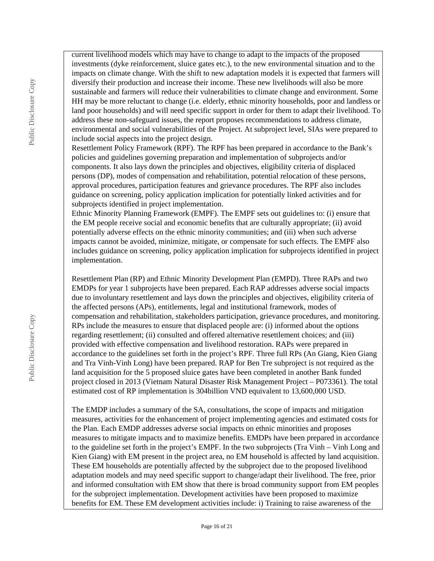current livelihood models which may have to change to adapt to the impacts of the proposed investments (dyke reinforcement, sluice gates etc.), to the new environmental situation and to the impacts on climate change. With the shift to new adaptation models it is expected that farmers will diversify their production and increase their income. These new livelihoods will also be more sustainable and farmers will reduce their vulnerabilities to climate change and environment. Some HH may be more reluctant to change (i.e. elderly, ethnic minority households, poor and landless or land poor households) and will need specific support in order for them to adapt their livelihood. To address these non-safeguard issues, the report proposes recommendations to address climate, environmental and social vulnerabilities of the Project. At subproject level, SIAs were prepared to include social aspects into the project design.

Resettlement Policy Framework (RPF). The RPF has been prepared in accordance to the Bank's policies and guidelines governing preparation and implementation of subprojects and/or components. It also lays down the principles and objectives, eligibility criteria of displaced persons (DP), modes of compensation and rehabilitation, potential relocation of these persons, approval procedures, participation features and grievance procedures. The RPF also includes guidance on screening, policy application implication for potentially linked activities and for subprojects identified in project implementation.

Ethnic Minority Planning Framework (EMPF). The EMPF sets out guidelines to: (i) ensure that the EM people receive social and economic benefits that are culturally appropriate; (ii) avoid potentially adverse effects on the ethnic minority communities; and (iii) when such adverse impacts cannot be avoided, minimize, mitigate, or compensate for such effects. The EMPF also includes guidance on screening, policy application implication for subprojects identified in project implementation.

Resettlement Plan (RP) and Ethnic Minority Development Plan (EMPD). Three RAPs and two EMDPs for year 1 subprojects have been prepared. Each RAP addresses adverse social impacts due to involuntary resettlement and lays down the principles and objectives, eligibility criteria of the affected persons (APs), entitlements, legal and institutional framework, modes of compensation and rehabilitation, stakeholders participation, grievance procedures, and monitoring. RPs include the measures to ensure that displaced people are: (i) informed about the options regarding resettlement; (ii) consulted and offered alternative resettlement choices; and (iii) provided with effective compensation and livelihood restoration. RAPs were prepared in accordance to the guidelines set forth in the project's RPF. Three full RPs (An Giang, Kien Giang and Tra Vinh-Vinh Long) have been prepared. RAP for Ben Tre subproject is not required as the land acquisition for the 5 proposed sluice gates have been completed in another Bank funded project closed in 2013 (Vietnam Natural Disaster Risk Management Project – P073361). The total estimated cost of RP implementation is 304billion VND equivalent to 13,600,000 USD.

The EMDP includes a summary of the SA, consultations, the scope of impacts and mitigation measures, activities for the enhancement of project implementing agencies and estimated costs for the Plan. Each EMDP addresses adverse social impacts on ethnic minorities and proposes measures to mitigate impacts and to maximize benefits. EMDPs have been prepared in accordance to the guideline set forth in the project's EMPF. In the two subprojects (Tra Vinh – Vinh Long and Kien Giang) with EM present in the project area, no EM household is affected by land acquisition. These EM households are potentially affected by the subproject due to the proposed livelihood adaptation models and may need specific support to change/adapt their livelihood. The free, prior and informed consultation with EM show that there is broad community support from EM peoples for the subproject implementation. Development activities have been proposed to maximize benefits for EM. These EM development activities include: i) Training to raise awareness of the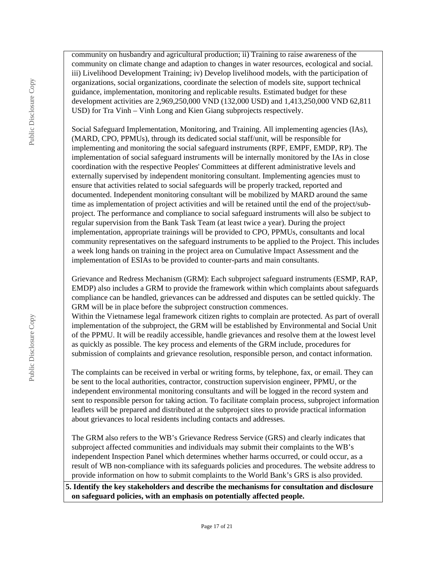Public Disclosure Copy Public Disclosure Copy Public Disclosure Copy

community on husbandry and agricultural production; ii) Training to raise awareness of the community on climate change and adaption to changes in water resources, ecological and social. iii) Livelihood Development Training; iv) Develop livelihood models, with the participation of organizations, social organizations, coordinate the selection of models site, support technical guidance, implementation, monitoring and replicable results. Estimated budget for these development activities are 2,969,250,000 VND (132,000 USD) and 1,413,250,000 VND 62,811 USD) for Tra Vinh – Vinh Long and Kien Giang subprojects respectively.

Social Safeguard Implementation, Monitoring, and Training. All implementing agencies (IAs), (MARD, CPO, PPMUs), through its dedicated social staff/unit, will be responsible for implementing and monitoring the social safeguard instruments (RPF, EMPF, EMDP, RP). The implementation of social safeguard instruments will be internally monitored by the IAs in close coordination with the respective Peoples' Committees at different administrative levels and externally supervised by independent monitoring consultant. Implementing agencies must to ensure that activities related to social safeguards will be properly tracked, reported and documented. Independent monitoring consultant will be mobilized by MARD around the same time as implementation of project activities and will be retained until the end of the project/subproject. The performance and compliance to social safeguard instruments will also be subject to regular supervision from the Bank Task Team (at least twice a year). During the project implementation, appropriate trainings will be provided to CPO, PPMUs, consultants and local community representatives on the safeguard instruments to be applied to the Project. This includes a week long hands on training in the project area on Cumulative Impact Assessment and the implementation of ESIAs to be provided to counter-parts and main consultants.

Grievance and Redress Mechanism (GRM): Each subproject safeguard instruments (ESMP, RAP, EMDP) also includes a GRM to provide the framework within which complaints about safeguards compliance can be handled, grievances can be addressed and disputes can be settled quickly. The GRM will be in place before the subproject construction commences.

Within the Vietnamese legal framework citizen rights to complain are protected. As part of overall implementation of the subproject, the GRM will be established by Environmental and Social Unit of the PPMU. It will be readily accessible, handle grievances and resolve them at the lowest level as quickly as possible. The key process and elements of the GRM include, procedures for submission of complaints and grievance resolution, responsible person, and contact information.

The complaints can be received in verbal or writing forms, by telephone, fax, or email. They can be sent to the local authorities, contractor, construction supervision engineer, PPMU, or the independent environmental monitoring consultants and will be logged in the record system and sent to responsible person for taking action. To facilitate complain process, subproject information leaflets will be prepared and distributed at the subproject sites to provide practical information about grievances to local residents including contacts and addresses.

The GRM also refers to the WB's Grievance Redress Service (GRS) and clearly indicates that subproject affected communities and individuals may submit their complaints to the WB's independent Inspection Panel which determines whether harms occurred, or could occur, as a result of WB non-compliance with its safeguards policies and procedures. The website address to provide information on how to submit complaints to the World Bank's GRS is also provided.

**5. Identify the key stakeholders and describe the mechanisms for consultation and disclosure on safeguard policies, with an emphasis on potentially affected people.**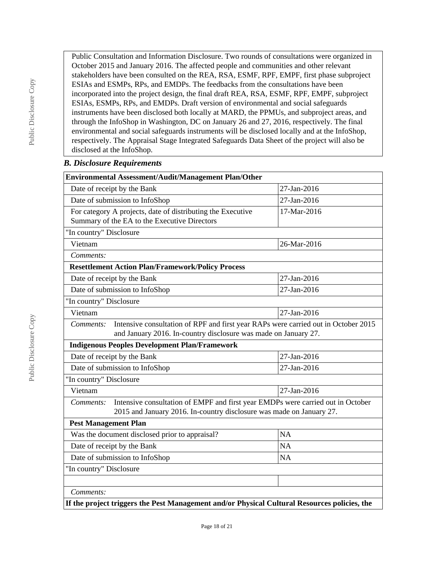Public Consultation and Information Disclosure. Two rounds of consultations were organized in October 2015 and January 2016. The affected people and communities and other relevant stakeholders have been consulted on the REA, RSA, ESMF, RPF, EMPF, first phase subproject ESIAs and ESMPs, RPs, and EMDPs. The feedbacks from the consultations have been incorporated into the project design, the final draft REA, RSA, ESMF, RPF, EMPF, subproject ESIAs, ESMPs, RPs, and EMDPs. Draft version of environmental and social safeguards instruments have been disclosed both locally at MARD, the PPMUs, and subproject areas, and through the InfoShop in Washington, DC on January 26 and 27, 2016, respectively. The final environmental and social safeguards instruments will be disclosed locally and at the InfoShop, respectively. The Appraisal Stage Integrated Safeguards Data Sheet of the project will also be disclosed at the InfoShop.

#### *B. Disclosure Requirements*

| <b>Environmental Assessment/Audit/Management Plan/Other</b>                                                                                                          |             |  |  |  |  |
|----------------------------------------------------------------------------------------------------------------------------------------------------------------------|-------------|--|--|--|--|
| Date of receipt by the Bank                                                                                                                                          | 27-Jan-2016 |  |  |  |  |
| Date of submission to InfoShop                                                                                                                                       | 27-Jan-2016 |  |  |  |  |
| For category A projects, date of distributing the Executive<br>Summary of the EA to the Executive Directors                                                          | 17-Mar-2016 |  |  |  |  |
| "In country" Disclosure                                                                                                                                              |             |  |  |  |  |
| Vietnam                                                                                                                                                              | 26-Mar-2016 |  |  |  |  |
| Comments:                                                                                                                                                            |             |  |  |  |  |
| <b>Resettlement Action Plan/Framework/Policy Process</b>                                                                                                             |             |  |  |  |  |
| Date of receipt by the Bank                                                                                                                                          | 27-Jan-2016 |  |  |  |  |
| Date of submission to InfoShop                                                                                                                                       | 27-Jan-2016 |  |  |  |  |
| "In country" Disclosure                                                                                                                                              |             |  |  |  |  |
| Vietnam                                                                                                                                                              | 27-Jan-2016 |  |  |  |  |
| Intensive consultation of RPF and first year RAPs were carried out in October 2015<br>Comments:<br>and January 2016. In-country disclosure was made on January 27.   |             |  |  |  |  |
| <b>Indigenous Peoples Development Plan/Framework</b>                                                                                                                 |             |  |  |  |  |
| Date of receipt by the Bank                                                                                                                                          | 27-Jan-2016 |  |  |  |  |
| Date of submission to InfoShop                                                                                                                                       | 27-Jan-2016 |  |  |  |  |
| "In country" Disclosure                                                                                                                                              |             |  |  |  |  |
| Vietnam                                                                                                                                                              | 27-Jan-2016 |  |  |  |  |
| Intensive consultation of EMPF and first year EMDPs were carried out in October<br>Comments:<br>2015 and January 2016. In-country disclosure was made on January 27. |             |  |  |  |  |
| <b>Pest Management Plan</b>                                                                                                                                          |             |  |  |  |  |
| Was the document disclosed prior to appraisal?                                                                                                                       | <b>NA</b>   |  |  |  |  |
| Date of receipt by the Bank                                                                                                                                          | <b>NA</b>   |  |  |  |  |
| Date of submission to InfoShop                                                                                                                                       | NA          |  |  |  |  |
| "In country" Disclosure                                                                                                                                              |             |  |  |  |  |
|                                                                                                                                                                      |             |  |  |  |  |
| Comments:                                                                                                                                                            |             |  |  |  |  |
| If the project triggers the Pest Management and/or Physical Cultural Resources policies, the                                                                         |             |  |  |  |  |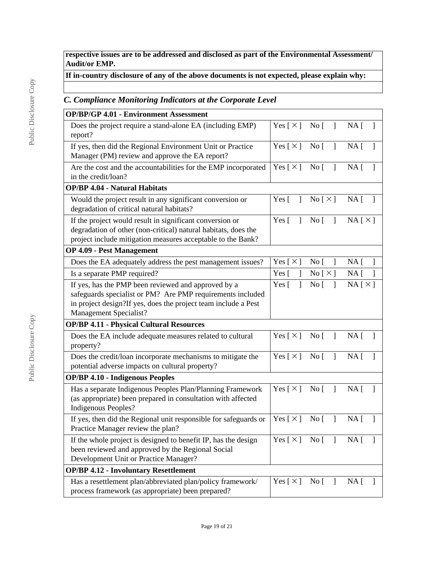**respective issues are to be addressed and disclosed as part of the Environmental Assessment/ Audit/or EMP.**

# **If in-country disclosure of any of the above documents is not expected, please explain why:**

# *C. Compliance Monitoring Indicators at the Corporate Level*

| <b>OP/BP/GP 4.01 - Environment Assessment</b>                                                                                                                                                                 |                                        |                                     |                                 |
|---------------------------------------------------------------------------------------------------------------------------------------------------------------------------------------------------------------|----------------------------------------|-------------------------------------|---------------------------------|
| Does the project require a stand-alone EA (including EMP)<br>report?                                                                                                                                          |                                        | $Yes [ \times ] No [ ]$             | $NA \lceil$<br>$\mathbf{1}$     |
| If yes, then did the Regional Environment Unit or Practice<br>Manager (PM) review and approve the EA report?                                                                                                  | Yes $[\times]$ No [                    | $\Box$                              | $NA$ [ ]                        |
| Are the cost and the accountabilities for the EMP incorporated<br>in the credit/loan?                                                                                                                         | Yes [ $\times$ ]                       | No [<br>$\mathbf{1}$                | $NA$ [<br>1                     |
| <b>OP/BP 4.04 - Natural Habitats</b>                                                                                                                                                                          |                                        |                                     |                                 |
| Would the project result in any significant conversion or<br>degradation of critical natural habitats?                                                                                                        | Yes $\lceil$<br>$\overline{1}$         | $\text{No} [\times]$                | $NA$ [ ]                        |
| If the project would result in significant conversion or<br>degradation of other (non-critical) natural habitats, does the<br>project include mitigation measures acceptable to the Bank?                     | Yes $\lceil \quad \rceil$              | No [                                | NA[X]                           |
| <b>OP 4.09 - Pest Management</b>                                                                                                                                                                              |                                        |                                     |                                 |
| Does the EA adequately address the pest management issues?                                                                                                                                                    | Yes [ $\times$ ]                       | $\overline{1}$<br>No <sub>[</sub> ] | NA <sub>1</sub><br>$\mathbf{1}$ |
| Is a separate PMP required?                                                                                                                                                                                   | Yes $\lceil$<br>$\mathbf{I}$           | No [ X ]                            | NA <sub>[</sub> ]<br>1          |
| If yes, has the PMP been reviewed and approved by a<br>safeguards specialist or PM? Are PMP requirements included<br>in project design?If yes, does the project team include a Pest<br>Management Specialist? | Yes $\lceil$<br>1                      | No [<br>$\overline{1}$              | NA[X]                           |
| <b>OP/BP 4.11 - Physical Cultural Resources</b>                                                                                                                                                               |                                        |                                     |                                 |
| Does the EA include adequate measures related to cultural<br>property?                                                                                                                                        | Yes $[\times]$ No $[\ ]$               |                                     | $NA \lceil$<br>$\mathbf{I}$     |
| Does the credit/loan incorporate mechanisms to mitigate the<br>potential adverse impacts on cultural property?                                                                                                | Yes [ $\times$ ]                       | $\overline{N}$ o<br>$\Box$          | NA <sub>1</sub><br>$\mathbf{1}$ |
| <b>OP/BP 4.10 - Indigenous Peoples</b>                                                                                                                                                                        |                                        |                                     |                                 |
| Has a separate Indigenous Peoples Plan/Planning Framework<br>(as appropriate) been prepared in consultation with affected<br>Indigenous Peoples?                                                              | Yes $[\times]$ No $[\ ]$               |                                     | $NA \lceil$<br>-1               |
| If yes, then did the Regional unit responsible for safeguards or<br>Practice Manager review the plan?                                                                                                         | Yes $\lceil \times \rceil$ No $\lceil$ | $\Box$                              | $NA \Gamma$<br>1                |
| If the whole project is designed to benefit IP, has the design<br>been reviewed and approved by the Regional Social<br>Development Unit or Practice Manager?                                                  | Yes $\lceil \times \rceil$             | $\overline{N}$ o $\overline{[}$     | NA [                            |
| <b>OP/BP 4.12 - Involuntary Resettlement</b>                                                                                                                                                                  |                                        |                                     |                                 |
| Has a resettlement plan/abbreviated plan/policy framework/<br>process framework (as appropriate) been prepared?                                                                                               | Yes [ $\times$ ]                       | No [<br>-1                          | NA [                            |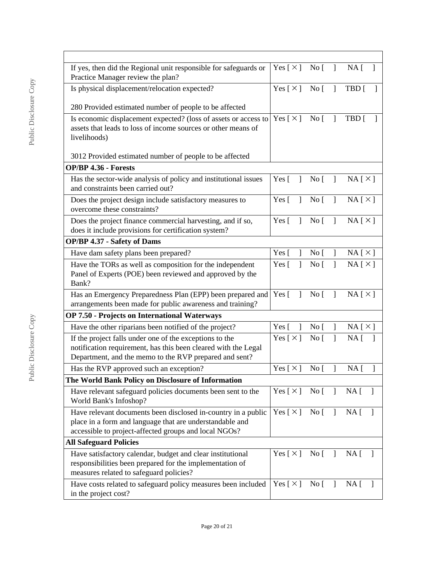| If yes, then did the Regional unit responsible for safeguards or<br>Practice Manager review the plan?                                                                               | Yes [ $\times$ ]             | No [                            |              | NA [<br>-1                                  |
|-------------------------------------------------------------------------------------------------------------------------------------------------------------------------------------|------------------------------|---------------------------------|--------------|---------------------------------------------|
| Yes [ $\times$ ]<br>Is physical displacement/relocation expected?                                                                                                                   |                              | $\overline{N}$ o                | $\mathbf{I}$ | TBD [                                       |
| 280 Provided estimated number of people to be affected                                                                                                                              |                              |                                 |              |                                             |
| Is economic displacement expected? (loss of assets or access to<br>assets that leads to loss of income sources or other means of<br>livelihoods)                                    | Yes $\lceil \times \rceil$   | $\overline{N}$ o                | $\mathbf{1}$ | TBD [                                       |
| 3012 Provided estimated number of people to be affected                                                                                                                             |                              |                                 |              |                                             |
| <b>OP/BP 4.36 - Forests</b>                                                                                                                                                         |                              |                                 |              |                                             |
| Has the sector-wide analysis of policy and institutional issues<br>and constraints been carried out?                                                                                | Yes $\lceil \quad \rceil$    | $No [$ ]                        |              | $NA \upharpoonright \times \upharpoonright$ |
| Does the project design include satisfactory measures to<br>overcome these constraints?                                                                                             | Yes $\lceil$<br>$\mathbf{1}$ | $\overline{N}$ o $\overline{[}$ | $\mathbf{I}$ | $NA [ \times ]$                             |
| Does the project finance commercial harvesting, and if so,<br>does it include provisions for certification system?                                                                  | Yes $\lceil$<br>$\mathbf{I}$ | $\overline{N}$ o                | $\mathbf{I}$ | $NA [ \times ]$                             |
| <b>OP/BP 4.37 - Safety of Dams</b>                                                                                                                                                  |                              |                                 |              |                                             |
| Have dam safety plans been prepared?                                                                                                                                                | Yes $\lceil$<br>1            | No <sub>[</sub> ]               | 1            | NA[X]                                       |
| Have the TORs as well as composition for the independent<br>Panel of Experts (POE) been reviewed and approved by the<br>Bank?                                                       | 1<br>Yes [                   | No <sub>1</sub>                 | $\mathsf{I}$ | NA[X]                                       |
| Has an Emergency Preparedness Plan (EPP) been prepared and<br>arrangements been made for public awareness and training?                                                             | Yes $\lceil$<br>1            | $\overline{N}$ o                | $\mathsf{I}$ | NA[X]                                       |
| OP 7.50 - Projects on International Waterways                                                                                                                                       |                              |                                 |              |                                             |
| Have the other riparians been notified of the project?                                                                                                                              | Yes [<br>1                   | No <sub>1</sub>                 | 1            | NA[X]                                       |
| If the project falls under one of the exceptions to the<br>notification requirement, has this been cleared with the Legal<br>Department, and the memo to the RVP prepared and sent? | Yes $\lceil \times \rceil$   | No <sub>1</sub>                 | 1            | NA <sub>1</sub><br>-1                       |
| Has the RVP approved such an exception?                                                                                                                                             | Yes [ $\times$ ]             | $\overline{\text{No}}$ [        | J            | NA [                                        |
| The World Bank Policy on Disclosure of Information                                                                                                                                  |                              |                                 |              |                                             |
| Have relevant safeguard policies documents been sent to the<br>World Bank's Infoshop?                                                                                               | Yes [ $\times$ ]             | No [                            | $\mathbf{I}$ | $NA$ [<br>$\Box$                            |
| Have relevant documents been disclosed in-country in a public<br>place in a form and language that are understandable and<br>accessible to project-affected groups and local NGOs?  | Yes $[\times]$ No $[\ ]$     |                                 |              | NA <sub>1</sub>                             |
| <b>All Safeguard Policies</b>                                                                                                                                                       |                              |                                 |              |                                             |
| Have satisfactory calendar, budget and clear institutional<br>responsibilities been prepared for the implementation of<br>measures related to safeguard policies?                   | Yes [ $\times$ ]             | $\overline{N}$ o $\overline{[}$ | 1            | $NA$ [                                      |
| Have costs related to safeguard policy measures been included<br>in the project cost?                                                                                               | Yes [ $\times$ ]             | $\overline{N}$ o $\overline{L}$ | $\mathbf{I}$ | $NA$ [<br>$\perp$                           |